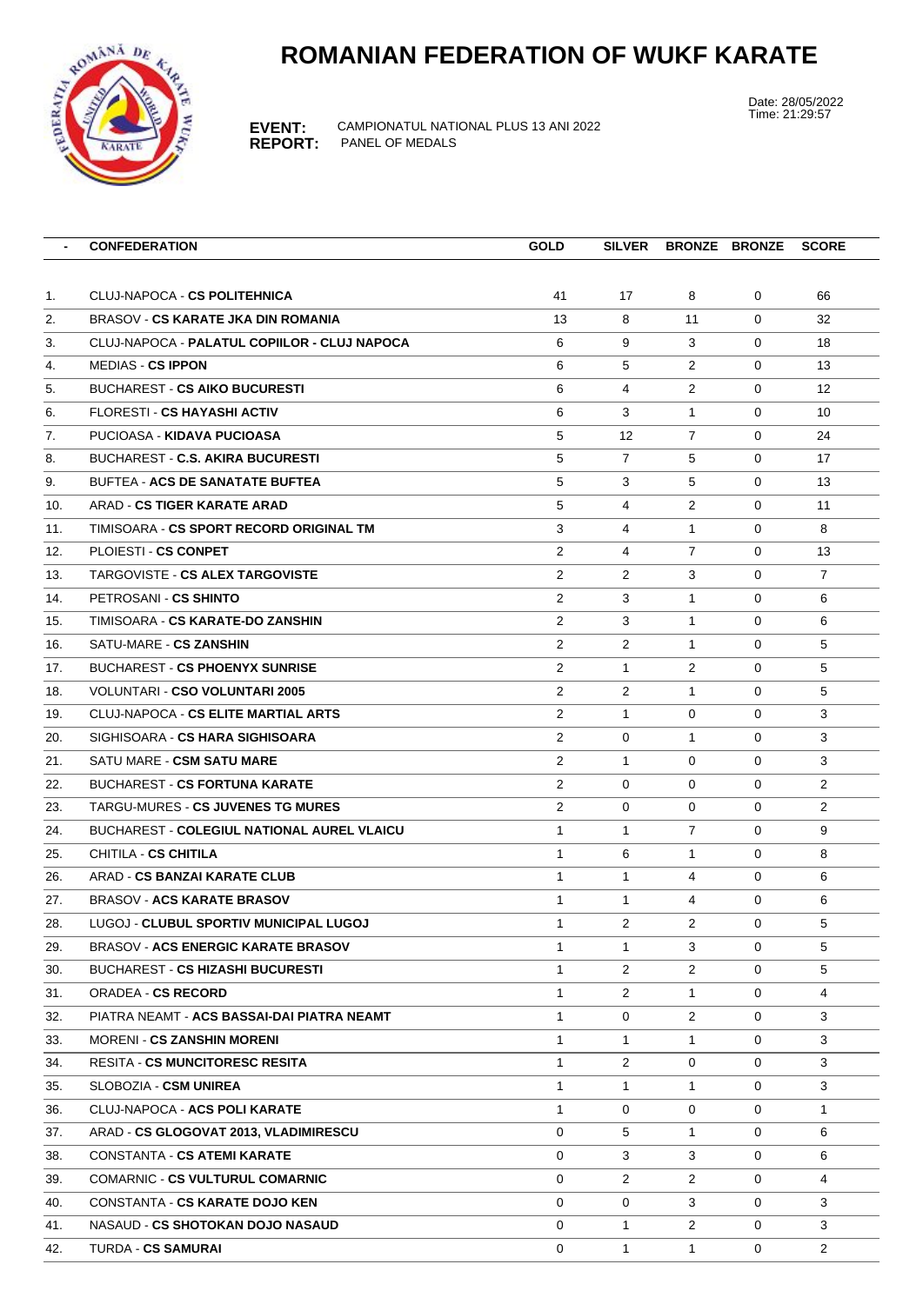## **ROMANIAN FEDERATION OF WUKF KARATE**



**EVENT:** CAMPIONATUL NATIONAL PLUS 13 ANI 2022 **REPORT:** PANEL OF MEDALS

Date: 28/05/2022 Time: 21:29:57

|     | <b>CONFEDERATION</b>                          | <b>GOLD</b>    | <b>SILVER</b>     |                | <b>BRONZE BRONZE</b> | <b>SCORE</b>      |
|-----|-----------------------------------------------|----------------|-------------------|----------------|----------------------|-------------------|
|     |                                               |                |                   |                |                      |                   |
| 1.  | <b>CLUJ-NAPOCA - CS POLITEHNICA</b>           | 41             | 17                | 8              | 0                    | 66                |
| 2.  | BRASOV - CS KARATE JKA DIN ROMANIA            | 13             | 8                 | 11             | 0                    | 32                |
| 3.  | CLUJ-NAPOCA - PALATUL COPIILOR - CLUJ NAPOCA  | 6              | 9                 | 3              | $\Omega$             | 18                |
| 4.  | <b>MEDIAS - CS IPPON</b>                      | 6              | 5                 | $\overline{2}$ | 0                    | 13                |
| 5.  | <b>BUCHAREST - CS AIKO BUCURESTI</b>          | 6              | 4                 | $\overline{2}$ | $\Omega$             | $12 \overline{ }$ |
| 6.  | <b>FLORESTI - CS HAYASHI ACTIV</b>            | 6              | 3                 | $\mathbf{1}$   | 0                    | 10                |
| 7.  | PUCIOASA - KIDAVA PUCIOASA                    | 5              | $12 \overline{ }$ | $\overline{7}$ | 0                    | 24                |
| 8.  | <b>BUCHAREST - C.S. AKIRA BUCURESTI</b>       | 5              | $\overline{7}$    | 5              | 0                    | 17                |
| 9.  | <b>BUFTEA - ACS DE SANATATE BUFTEA</b>        | 5              | 3                 | 5              | 0                    | 13                |
| 10. | ARAD - CS TIGER KARATE ARAD                   | 5              | 4                 | $\overline{2}$ | 0                    | 11                |
| 11. | TIMISOARA - CS SPORT RECORD ORIGINAL TM       | 3              | 4                 | $\mathbf{1}$   | $\Omega$             | 8                 |
| 12. | PLOIESTI - CS CONPET                          | $\overline{2}$ | $\overline{4}$    | $\overline{7}$ | 0                    | 13                |
| 13. | TARGOVISTE - CS ALEX TARGOVISTE               | $\overline{2}$ | $\overline{2}$    | 3              | $\Omega$             | $\overline{7}$    |
| 14. | PETROSANI - CS SHINTO                         | $\overline{2}$ | 3                 | $\mathbf{1}$   | 0                    | 6                 |
| 15. | TIMISOARA - CS KARATE-DO ZANSHIN              | $\overline{2}$ | 3                 | $\mathbf{1}$   | 0                    | 6                 |
| 16. | SATU-MARE - CS ZANSHIN                        | $\overline{2}$ | $\overline{2}$    | 1              | 0                    | 5                 |
| 17. | <b>BUCHAREST - CS PHOENYX SUNRISE</b>         | 2              | $\mathbf{1}$      | $\overline{2}$ | 0                    | 5                 |
| 18. | <b>VOLUNTARI - CSO VOLUNTARI 2005</b>         | $\overline{2}$ | $\overline{2}$    | $\mathbf{1}$   | 0                    | 5                 |
| 19. | CLUJ-NAPOCA - CS ELITE MARTIAL ARTS           | $\overline{2}$ | $\mathbf{1}$      | 0              | $\Omega$             | 3                 |
| 20. | SIGHISOARA - CS HARA SIGHISOARA               | $\overline{2}$ | 0                 | $\mathbf{1}$   | 0                    | 3                 |
| 21. | SATU MARE - CSM SATU MARE                     | $\overline{2}$ | $\mathbf{1}$      | 0              | 0                    | 3                 |
| 22. | <b>BUCHAREST - CS FORTUNA KARATE</b>          | $\overline{2}$ | 0                 | 0              | 0                    | $\overline{2}$    |
| 23. | TARGU-MURES - CS JUVENES TG MURES             | $\overline{2}$ | 0                 | 0              | 0                    | $\overline{2}$    |
| 24. | BUCHAREST - COLEGIUL NATIONAL AUREL VLAICU    | $\mathbf{1}$   | $\mathbf{1}$      | $\overline{7}$ | 0                    | 9                 |
| 25. | CHITILA - CS CHITILA                          | $\mathbf{1}$   | 6                 | $\mathbf{1}$   | 0                    | 8                 |
| 26. | ARAD - CS BANZAI KARATE CLUB                  | $\mathbf{1}$   | $\mathbf{1}$      | 4              | 0                    | 6                 |
| 27. | <b>BRASOV - ACS KARATE BRASOV</b>             | $\mathbf{1}$   | $\mathbf{1}$      | 4              | $\Omega$             | 6                 |
| 28. | LUGOJ - <b>CLUBUL SPORTIV MUNICIPAL LUGOJ</b> | $\mathbf{1}$   | $\overline{2}$    | $\overline{2}$ | $\Omega$             | 5                 |
| 29. | <b>BRASOV - ACS ENERGIC KARATE BRASOV</b>     | 1              | $\mathbf{1}$      | 3              | 0                    | 5                 |
| 30. | <b>BUCHAREST - CS HIZASHI BUCURESTI</b>       | $\mathbf{1}$   | $\overline{2}$    | $\mathbf{2}$   | 0                    | 5                 |
| 31. | <b>ORADEA - CS RECORD</b>                     | $\mathbf{1}$   | $\overline{2}$    | $\mathbf{1}$   | 0                    | $\overline{4}$    |
| 32. | PIATRA NEAMT - ACS BASSAI-DAI PIATRA NEAMT    | $\mathbf{1}$   | 0                 | $\overline{2}$ | 0                    | 3                 |
| 33. | <b>MORENI - CS ZANSHIN MORENI</b>             | $\mathbf{1}$   | $\mathbf{1}$      | $\mathbf{1}$   | 0                    | 3                 |
| 34. | <b>RESITA - CS MUNCITORESC RESITA</b>         | $\mathbf{1}$   | $\overline{2}$    | 0              | 0                    | 3                 |
| 35. | SLOBOZIA - CSM UNIREA                         | $\mathbf{1}$   | $\mathbf{1}$      | 1              | 0                    | 3                 |
| 36. | CLUJ-NAPOCA - ACS POLI KARATE                 | $\mathbf{1}$   | 0                 | 0              | 0                    | 1                 |
| 37. | ARAD - CS GLOGOVAT 2013, VLADIMIRESCU         | $\mathbf 0$    | 5                 | 1              | 0                    | 6                 |
| 38. | CONSTANTA - CS ATEMI KARATE                   | $\mathbf 0$    | 3                 | 3              | 0                    | 6                 |
| 39. | <b>COMARNIC - CS VULTURUL COMARNIC</b>        | 0              | $\overline{2}$    | $\overline{2}$ | 0                    | $\overline{4}$    |
| 40. | <b>CONSTANTA - CS KARATE DOJO KEN</b>         | 0              | 0                 | 3              | 0                    | 3                 |
| 41. | NASAUD - CS SHOTOKAN DOJO NASAUD              | 0              | $\mathbf{1}$      | $\overline{2}$ | 0                    | 3                 |
| 42. | <b>TURDA - CS SAMURAI</b>                     | 0              | $\mathbf{1}$      | $\mathbf{1}$   | 0                    | $\overline{2}$    |